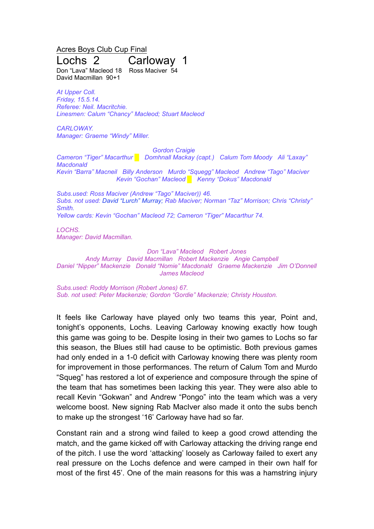Acres Boys Club Cup Final

## Lochs 2 Carloway 1

Don "Lava" Macleod 18 Ross Maciver 54 David Macmillan 90+1

*At Upper Coll. Friday, 15.5.14. Referee: Neil. Macritchie. Linesmen: Calum "Chancy" Macleod; Stuart Macleod*

*CARLOWAY. Manager: Graeme "Windy" Miller.*

*Gordon Craigie*

*Cameron "Tiger" Macarthur █ Domhnall Mackay (capt.) Calum Tom Moody Ali "Laxay" Macdonald Kevin "Barra" Macneil Billy Anderson Murdo "Squegg" Macleod Andrew "Tago" Maciver Kevin "Gochan" Macleod █ Kenny "Dokus" Macdonald*

*Subs.used: Ross Maciver (Andrew "Tago" Maciver)) 46. Subs. not used: David "Lurch" Murray; Rab Maciver; Norman "Taz" Morrison; Chris "Christy" Smith. Yellow cards: Kevin "Gochan" Macleod 72; Cameron "Tiger" Macarthur 74.*

*LOCHS. Manager: David Macmillan.*

*Don "Lava" Macleod Robert Jones*

*Andy Murray David Macmillan Robert Mackenzie Angie Campbell Daniel "Nipper" Mackenzie Donald "Nomie" Macdonald Graeme Mackenzie Jim O'Donnell James Macleod*

*Subs.used: Roddy Morrison (Robert Jones) 67. Sub. not used: Peter Mackenzie; Gordon "Gordie" Mackenzie; Christy Houston.*

It feels like Carloway have played only two teams this year, Point and, tonight's opponents, Lochs. Leaving Carloway knowing exactly how tough this game was going to be. Despite losing in their two games to Lochs so far this season, the Blues still had cause to be optimistic. Both previous games had only ended in a 1-0 deficit with Carloway knowing there was plenty room for improvement in those performances. The return of Calum Tom and Murdo "Squeg" has restored a lot of experience and composure through the spine of the team that has sometimes been lacking this year. They were also able to recall Kevin "Gokwan" and Andrew "Pongo" into the team which was a very welcome boost. New signing Rab MacIver also made it onto the subs bench to make up the strongest '16' Carloway have had so far.

Constant rain and a strong wind failed to keep a good crowd attending the match, and the game kicked off with Carloway attacking the driving range end of the pitch. I use the word 'attacking' loosely as Carloway failed to exert any real pressure on the Lochs defence and were camped in their own half for most of the first 45'. One of the main reasons for this was a hamstring injury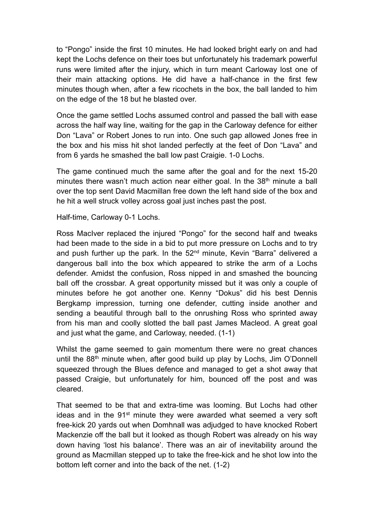to "Pongo" inside the first 10 minutes. He had looked bright early on and had kept the Lochs defence on their toes but unfortunately his trademark powerful runs were limited after the injury, which in turn meant Carloway lost one of their main attacking options. He did have a half-chance in the first few minutes though when, after a few ricochets in the box, the ball landed to him on the edge of the 18 but he blasted over.

Once the game settled Lochs assumed control and passed the ball with ease across the half way line, waiting for the gap in the Carloway defence for either Don "Lava" or Robert Jones to run into. One such gap allowed Jones free in the box and his miss hit shot landed perfectly at the feet of Don "Lava" and from 6 yards he smashed the ball low past Craigie. 1-0 Lochs.

The game continued much the same after the goal and for the next 15-20 minutes there wasn't much action near either goal. In the 38<sup>th</sup> minute a ball over the top sent David Macmillan free down the left hand side of the box and he hit a well struck volley across goal just inches past the post.

Half-time, Carloway 0-1 Lochs.

Ross MacIver replaced the injured "Pongo" for the second half and tweaks had been made to the side in a bid to put more pressure on Lochs and to try and push further up the park. In the 52<sup>nd</sup> minute, Kevin "Barra" delivered a dangerous ball into the box which appeared to strike the arm of a Lochs defender. Amidst the confusion, Ross nipped in and smashed the bouncing ball off the crossbar. A great opportunity missed but it was only a couple of minutes before he got another one. Kenny "Dokus" did his best Dennis Bergkamp impression, turning one defender, cutting inside another and sending a beautiful through ball to the onrushing Ross who sprinted away from his man and coolly slotted the ball past James Macleod. A great goal and just what the game, and Carloway, needed. (1-1)

Whilst the game seemed to gain momentum there were no great chances until the 88th minute when, after good build up play by Lochs, Jim O'Donnell squeezed through the Blues defence and managed to get a shot away that passed Craigie, but unfortunately for him, bounced off the post and was cleared.

That seemed to be that and extra-time was looming. But Lochs had other ideas and in the 91<sup>st</sup> minute they were awarded what seemed a very soft free-kick 20 yards out when Domhnall was adjudged to have knocked Robert Mackenzie off the ball but it looked as though Robert was already on his way down having 'lost his balance'. There was an air of inevitability around the ground as Macmillan stepped up to take the free-kick and he shot low into the bottom left corner and into the back of the net. (1-2)